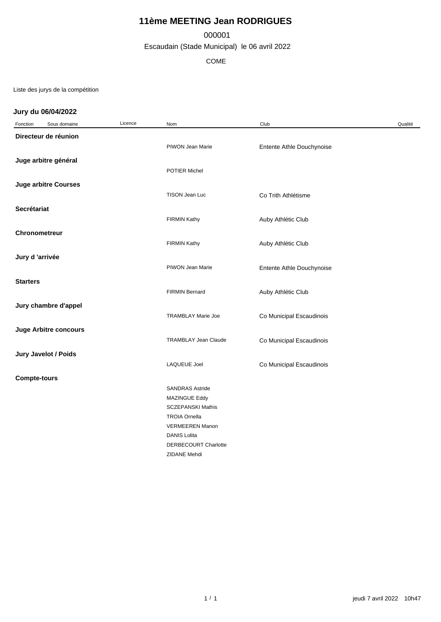# **11ème MEETING Jean RODRIGUES**

### 000001

Escaudain (Stade Municipal) le 06 avril 2022

COME

Liste des jurys de la compétition

### **Jury du 06/04/2022**

| Fonction             | Sous domaine                 | Licence | Nom                       | Club                      | Qualité |  |  |
|----------------------|------------------------------|---------|---------------------------|---------------------------|---------|--|--|
| Directeur de réunion |                              |         |                           |                           |         |  |  |
|                      |                              |         | PIWON Jean Marie          | Entente Athle Douchynoise |         |  |  |
|                      |                              |         |                           |                           |         |  |  |
|                      | Juge arbitre général         |         |                           |                           |         |  |  |
|                      |                              |         | POTIER Michel             |                           |         |  |  |
|                      | <b>Juge arbitre Courses</b>  |         |                           |                           |         |  |  |
|                      |                              |         | TISON Jean Luc            | Co Trith Athlétisme       |         |  |  |
| Secrétariat          |                              |         |                           |                           |         |  |  |
|                      |                              |         | <b>FIRMIN Kathy</b>       |                           |         |  |  |
|                      |                              |         |                           | Auby Athlétic Club        |         |  |  |
| <b>Chronometreur</b> |                              |         |                           |                           |         |  |  |
|                      |                              |         | <b>FIRMIN Kathy</b>       | Auby Athlétic Club        |         |  |  |
| Jury d'arrivée       |                              |         |                           |                           |         |  |  |
|                      |                              |         | PIWON Jean Marie          | Entente Athle Douchynoise |         |  |  |
|                      |                              |         |                           |                           |         |  |  |
| <b>Starters</b>      |                              |         |                           |                           |         |  |  |
|                      |                              |         | <b>FIRMIN Bernard</b>     | Auby Athlétic Club        |         |  |  |
|                      | Jury chambre d'appel         |         |                           |                           |         |  |  |
|                      |                              |         | <b>TRAMBLAY Marie Joe</b> | Co Municipal Escaudinois  |         |  |  |
|                      |                              |         |                           |                           |         |  |  |
|                      | <b>Juge Arbitre concours</b> |         |                           |                           |         |  |  |
|                      |                              |         | TRAMBLAY Jean Claude      | Co Municipal Escaudinois  |         |  |  |
|                      | Jury Javelot / Poids         |         |                           |                           |         |  |  |
|                      |                              |         | <b>LAQUEUE Joel</b>       | Co Municipal Escaudinois  |         |  |  |
| <b>Compte-tours</b>  |                              |         |                           |                           |         |  |  |
|                      |                              |         | <b>SANDRAS Astride</b>    |                           |         |  |  |
|                      |                              |         | MAZINGUE Eddy             |                           |         |  |  |
|                      |                              |         | <b>SCZEPANSKI Mathis</b>  |                           |         |  |  |
|                      |                              |         | <b>TROIA Ornella</b>      |                           |         |  |  |
|                      |                              |         | <b>VERMEEREN Manon</b>    |                           |         |  |  |
|                      |                              |         | <b>DANIS Lolita</b>       |                           |         |  |  |
|                      |                              |         | DERBECOURT Charlotte      |                           |         |  |  |
|                      |                              |         | ZIDANE Mehdi              |                           |         |  |  |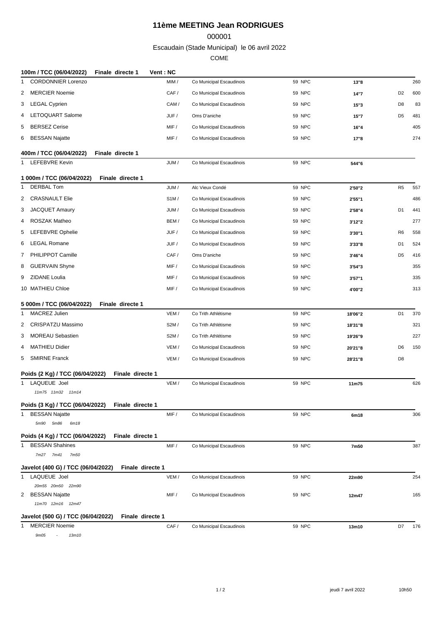## **11ème MEETING Jean RODRIGUES**

#### 

Escaudain (Stade Municipal) le 06 avril 2022

COME

| 100m / TCC (06/04/2022)            | Finale directe 1 | Vent: NC |                          |               |         |                |     |
|------------------------------------|------------------|----------|--------------------------|---------------|---------|----------------|-----|
| <b>CORDONNIER Lorenzo</b><br>1     |                  | MIM /    | Co Municipal Escaudinois | 59 NPC        | 13"8    |                | 260 |
| <b>MERCIER Noemie</b><br>2         |                  | CAF/     | Co Municipal Escaudinois | 59 NPC        | 14"7    | D <sub>2</sub> | 600 |
| 3 LEGAL Cyprien                    |                  | CAM /    | Co Municipal Escaudinois | 59 NPC        | 15"3    | D8             | 83  |
| LETOQUART Salome<br>4              |                  | JUF/     | Oms D'aniche             | <b>59 NPC</b> | 15"7    | D <sub>5</sub> | 481 |
| <b>BERSEZ Cerise</b><br>5          |                  | MIF /    | Co Municipal Escaudinois | 59 NPC        | 16"4    |                | 405 |
| BESSAN Najatte<br>6                |                  | MIF /    | Co Municipal Escaudinois | 59 NPC        | 17"8    |                | 274 |
|                                    |                  |          |                          |               |         |                |     |
| 400m / TCC (06/04/2022)            | Finale directe 1 |          |                          |               |         |                |     |
| 1 LEFEBVRE Kevin                   |                  | JUM/     | Co Municipal Escaudinois | <b>59 NPC</b> | 544"6   |                |     |
| 1 000m / TCC (06/04/2022)          | Finale directe 1 |          |                          |               |         |                |     |
| <b>DERBAL Tom</b><br>1             |                  | JUM/     | Alc Vieux Condé          | <b>59 NPC</b> | 2'50"2  | R <sub>5</sub> | 557 |
| <b>CRASNAULT Elie</b><br>2         |                  | SIM/     | Co Municipal Escaudinois | 59 NPC        | 2'55"1  |                | 486 |
| <b>JACQUET Amaury</b><br>3         |                  | JUM/     | Co Municipal Escaudinois | 59 NPC        | 2'58"4  | D <sub>1</sub> | 441 |
| <b>ROSZAK Matheo</b><br>4          |                  | BEM/     | Co Municipal Escaudinois | 59 NPC        | 3'12"2  |                | 277 |
| <b>LEFEBVRE Ophelie</b><br>5       |                  | JUF /    | Co Municipal Escaudinois | 59 NPC        | 3'30"1  | R <sub>6</sub> | 558 |
| <b>LEGAL Romane</b><br>6           |                  | JUF /    | Co Municipal Escaudinois | 59 NPC        | 3'33"8  | D <sub>1</sub> | 524 |
| 7 PHILIPPOT Camille                |                  | CAF/     | Oms D'aniche             | 59 NPC        | 3'46"4  | D <sub>5</sub> | 416 |
| 8 GUERVAIN Shyne                   |                  | MIF /    | Co Municipal Escaudinois | <b>59 NPC</b> | 3'54"3  |                | 355 |
| 9 ZIDANE Loulia                    |                  | MIF /    | Co Municipal Escaudinois | 59 NPC        | 3'57"1  |                | 335 |
| 10 MATHIEU Chloe                   |                  | MIF /    | Co Municipal Escaudinois | 59 NPC        | 4'00"2  |                | 313 |
|                                    |                  |          |                          |               |         |                |     |
| 5 000m / TCC (06/04/2022)          | Finale directe 1 |          |                          |               |         |                |     |
| <b>MACREZ Julien</b><br>1          |                  | VEM/     | Co Trith Athlétisme      | 59 NPC        | 18'06"2 | D <sub>1</sub> | 370 |
| CRISPATZU Massimo<br>2             |                  | S2M/     | Co Trith Athlétisme      | 59 NPC        | 18'31"8 |                | 321 |
| <b>MOREAU Sebastien</b><br>3       |                  | S2M/     | Co Trith Athlétisme      | 59 NPC        | 19'26"9 |                | 227 |
| <b>MATHIEU Didier</b><br>4         |                  | VEM/     | Co Municipal Escaudinois | 59 NPC        | 20'21"8 | D6             | 150 |
| <b>SMIRNE Franck</b><br>5          |                  | VEM/     | Co Municipal Escaudinois | 59 NPC        | 28'21"8 | D8             |     |
| Poids (2 Kg) / TCC (06/04/2022)    | Finale directe 1 |          |                          |               |         |                |     |
| LAQUEUE Joel<br>1                  |                  | VEM/     | Co Municipal Escaudinois | <b>59 NPC</b> | 11m75   |                | 626 |
| 11m75 11m32 11m14                  |                  |          |                          |               |         |                |     |
| Poids (3 Kg) / TCC (06/04/2022)    | Finale directe 1 |          |                          |               |         |                |     |
| 1 BESSAN Najatte                   |                  | MIF /    | Co Municipal Escaudinois | 59 NPC        | 6m18    |                | 306 |
| 5m90 5m86<br>6m18                  |                  |          |                          |               |         |                |     |
| Poids (4 Kg) / TCC (06/04/2022)    | Finale directe 1 |          |                          |               |         |                |     |
| <b>BESSAN Shahines</b><br>1        |                  | MIF /    | Co Municipal Escaudinois | 59 NPC        | 7m50    |                | 387 |
| 7m27 7m41 7m50                     |                  |          |                          |               |         |                |     |
| Javelot (400 G) / TCC (06/04/2022) | Finale directe 1 |          |                          |               |         |                |     |
| 1 LAQUEUE Joel                     |                  | VEM/     | Co Municipal Escaudinois | 59 NPC        | 22m90   |                | 254 |
| 20m55 20m50 22m90                  |                  |          |                          |               |         |                |     |
| 2<br>BESSAN Najatte                |                  | MIF /    | Co Municipal Escaudinois | 59 NPC        | 12m47   |                | 165 |
| 11m70 12m16 12m47                  |                  |          |                          |               |         |                |     |
| Javelot (500 G) / TCC (06/04/2022) | Finale directe 1 |          |                          |               |         |                |     |
| <b>MERCIER Noemie</b><br>1         |                  | CAF /    | Co Municipal Escaudinois | 59 NPC        | 13m10   | D7             | 176 |
| 9m05<br>$\sim 10^{-1}$<br>13m10    |                  |          |                          |               |         |                |     |